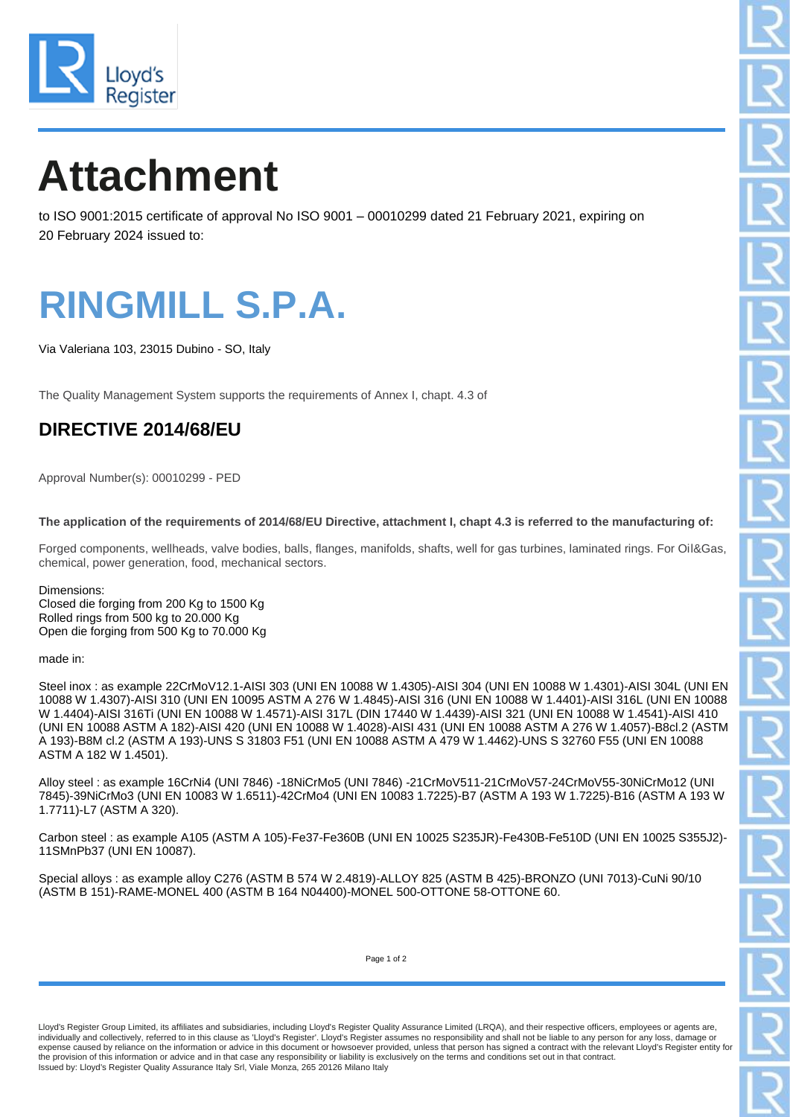

# **Attachment**

to ISO 9001:2015 certificate of approval No ISO 9001 – 00010299 dated 21 February 2021, expiring on 20 February 2024 issued to:

### **RINGMILL S.P.A.**

Via Valeriana 103, 23015 Dubino - SO, Italy

The Quality Management System supports the requirements of Annex I, chapt. 4.3 of

### **DIRECTIVE 2014/68/EU**

Approval Number(s): 00010299 - PED

**The application of the requirements of 2014/68/EU Directive, attachment I, chapt 4.3 is referred to the manufacturing of:**

Forged components, wellheads, valve bodies, balls, flanges, manifolds, shafts, well for gas turbines, laminated rings. For Oil&Gas, chemical, power generation, food, mechanical sectors.

Dimensions: Closed die forging from 200 Kg to 1500 Kg Rolled rings from 500 kg to 20.000 Kg Open die forging from 500 Kg to 70.000 Kg

#### made in:

Steel inox : as example 22CrMoV12.1-AISI 303 (UNI EN 10088 W 1.4305)-AISI 304 (UNI EN 10088 W 1.4301)-AISI 304L (UNI EN 10088 W 1.4307)-AISI 310 (UNI EN 10095 ASTM A 276 W 1.4845)-AISI 316 (UNI EN 10088 W 1.4401)-AISI 316L (UNI EN 10088 W 1.4404)-AISI 316Ti (UNI EN 10088 W 1.4571)-AISI 317L (DIN 17440 W 1.4439)-AISI 321 (UNI EN 10088 W 1.4541)-AISI 410 (UNI EN 10088 ASTM A 182)-AISI 420 (UNI EN 10088 W 1.4028)-AISI 431 (UNI EN 10088 ASTM A 276 W 1.4057)-B8cl.2 (ASTM A 193)-B8M cl.2 (ASTM A 193)-UNS S 31803 F51 (UNI EN 10088 ASTM A 479 W 1.4462)-UNS S 32760 F55 (UNI EN 10088 ASTM A 182 W 1.4501).

Alloy steel : as example 16CrNi4 (UNI 7846) -18NiCrMo5 (UNI 7846) -21CrMoV511-21CrMoV57-24CrMoV55-30NiCrMo12 (UNI 7845)-39NiCrMo3 (UNI EN 10083 W 1.6511)-42CrMo4 (UNI EN 10083 1.7225)-B7 (ASTM A 193 W 1.7225)-B16 (ASTM A 193 W 1.7711)-L7 (ASTM A 320).

Carbon steel : as example A105 (ASTM A 105)-Fe37-Fe360B (UNI EN 10025 S235JR)-Fe430B-Fe510D (UNI EN 10025 S355J2)- 11SMnPb37 (UNI EN 10087).

Special alloys : as example alloy C276 (ASTM B 574 W 2.4819)-ALLOY 825 (ASTM B 425)-BRONZO (UNI 7013)-CuNi 90/10 (ASTM B 151)-RAME-MONEL 400 (ASTM B 164 N04400)-MONEL 500-OTTONE 58-OTTONE 60.

Page 1 of 2

Lloyd's Register Group Limited, its affiliates and subsidiaries, including Lloyd's Register Quality Assurance Limited (LRQA), and their respective officers, employees or agents are, individually and collectively, referred to in this clause as 'Lloyd's Register'. Lloyd's Register assumes no responsibility and shall not be liable to any person for any loss, damage or<br>expense caused by reliance on the in the provision of this information or advice and in that case any responsibility or liability is exclusively on the terms and conditions set out in that contract. Issued by: Lloyd's Register Quality Assurance Italy Srl, Viale Monza, 265 20126 Milano Italy